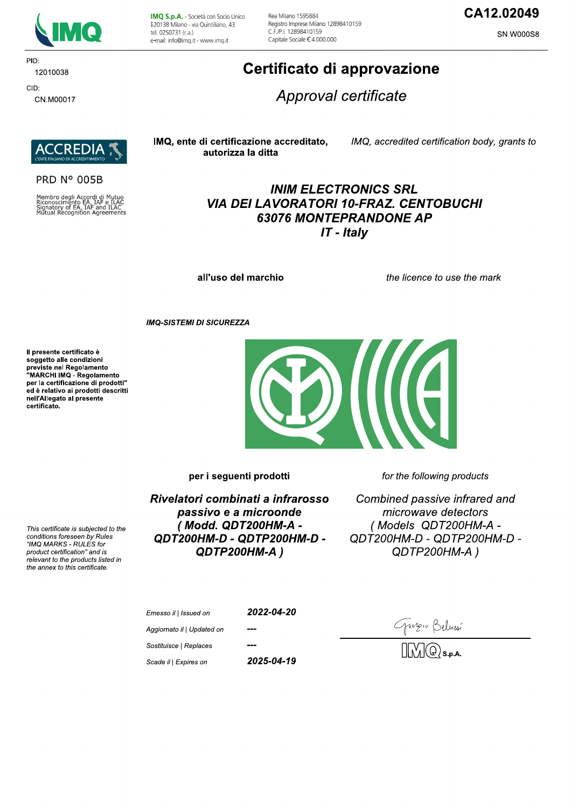

PID: 12010038 CID:

CN.M00017

IMQ S.p.A. - Società con Socio Unico I 20138 Milano - via Quintiliano, 43 tel. 0250731 (r.a.) e-mail: info@imq.it - www.imq.it

Rea Milano 1595884 Registro Imprese Milano 12898410159 C F /P | 12898410159 Capitale Sociale €4.000.000

# CA12.02049

**SN.W000S8** 

# Certificato di approvazione

Approval certificate



#### **PRD N° 005B**

Membro degli Accordi di Mutuo<br>Riconoscimento EA, IAF e ILAC<br>Signatory of EA, IAF and ILAC<br>Mutual Recognition Agreements

#### IMQ, ente di certificazione accreditato, autorizza la ditta

IMQ, accredited certification body, grants to

## **INIM ELECTRONICS SRL VIA DEI LAVORATORI 10-FRAZ. CENTOBUCHI 63076 MONTEPRANDONE AP**  $IT$  - Italy

all'uso del marchio

the licence to use the mark

**IMQ-SISTEMI DI SICUREZZA** 

Il presente certificato è soggetto alle condizioni Soggetto and containmento<br>previste nel Regolamento<br>"MARCHI IMQ - Regolamento per la certificazione di prodotti" ed è relativo ai prodotti descritti nell'Allegato al presente certificato.



Rivelatori combinati a infrarosso passivo e a microonde (Modd. QDT200HM-A -QDT200HM-D - QDTP200HM-D -QDTP200HM-A)

for the following products

 $\overline{\mathbf{a}}$ 

Combined passive infrared and microwave detectors (Models QDT200HM-A -QDT200HM-D - QDTP200HM-D -QDTP200HM-A)

1020 Belussí

| Emesso il   Issued on      | 2022-04-20 |  |
|----------------------------|------------|--|
| Aggiornato il   Updated on | ---        |  |
| Sostituisce   Replaces     | ---        |  |
| Scade il   Expires on      | 2025-04-19 |  |

This certificate is subjected to the conditions foreseen by Rules "IMQ MARKS - RULES for product certification" and is relevant to the products listed in the annex to this certificate.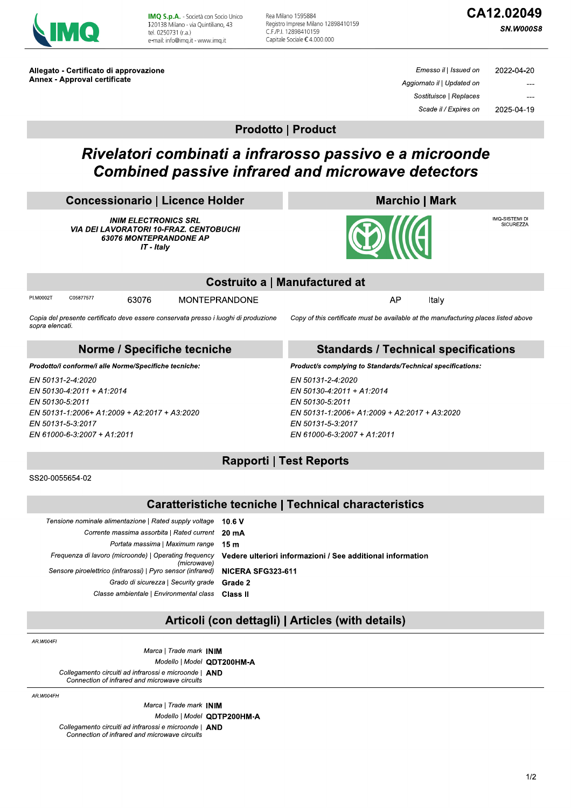

IMQ S.p.A. - Società con Socio Unico I 20138 Milano - via Quintiliano, 43 tel. 0250731 (r.a.) e-mail: info@img.it - www.img.it

Rea Milano 1595884 Registro Imprese Milano 12898410159 C F /P | 12898410159 Capitale Sociale €4.000.000

# CA12.02049

SN.W000S8

Allegato - Certificato di approvazione **Annex - Approval certificate** 

| 2022-04-20 | Emesso il   Issued on      |
|------------|----------------------------|
|            | Aggiornato il   Updated on |
|            | Sostituisce   Replaces     |
| 2025-04-19 | Scade il / Expires on      |

**Prodotto | Product** 

# Rivelatori combinati a infrarosso passivo e a microonde **Combined passive infrared and microwave detectors**

| <b>Concessionario   Licence Holder</b>                                                                                                       | <b>Marchio   Mark</b> |  |
|----------------------------------------------------------------------------------------------------------------------------------------------|-----------------------|--|
| <b>INIM ELECTRONICS SRL</b><br><b>VIA DEI LAVORATORI 10-FRAZ. CENTOBUCHI</b><br><b>63076 MONTEPRANDONE AP</b><br>$\mathbf{r}$ , $\mathbf{r}$ | $\odot$               |  |

| <b>ELECTRONICS SRL</b><br><b><i>MONTEPRANDONE AP</i></b><br>IT - Italv | ATORI 10-FRAZ. CENTOBUCHI                          |                                                                                     | IMQ-SISTEMI DI<br><b>SICUREZZA</b> |
|------------------------------------------------------------------------|----------------------------------------------------|-------------------------------------------------------------------------------------|------------------------------------|
| <b>Costruito a   Manufactured at</b>                                   |                                                    |                                                                                     |                                    |
| 63076                                                                  | <b>MONTEPRANDONE</b>                               | AP                                                                                  | Italv                              |
|                                                                        | ve essere conservata presso i luoghi di produzione | Copy of this certificate must be available at the manufacturing places listed above |                                    |

Copia del presente certificato deve essere conservata presso i luoghi di produzione sopra elencati

Norme / Specifiche tecniche

Prodotto/i conforme/i alle Norme/Specifiche tecniche:

EN 50131-2-4:2020 EN 50130-4:2011 + A1:2014 EN 50130-5:2011 EN 50131-1:2006+ A1:2009 + A2:2017 + A3:2020 EN 50131-5-3:2017 EN 61000-6-3:2007 + A1:2011

### **Standards / Technical specifications**

Product/s complying to Standards/Technical specifications:

EN 50131-2-4:2020 EN 50130-4:2011 + A1:2014 EN 50130-5:2011 EN 50131-1:2006+ A1:2009 + A2:2017 + A3:2020 EN 50131-5-3:2017 EN 61000-6-3:2007 + A1:2011

## **Rapporti | Test Reports**

SS20-0055654-02

PLM0002T

C05877577

### **Caratteristiche tecniche | Technical characteristics**

| Tensione nominale alimentazione   Rated supply voltage               | 10.6 V                                                     |
|----------------------------------------------------------------------|------------------------------------------------------------|
| Corrente massima assorbita   Rated current 20 mA                     |                                                            |
| Portata massima   Maximum range                                      | 15 m                                                       |
| Frequenza di lavoro (microonde)   Operating frequency<br>(microwave) | Vedere ulteriori informazioni / See additional information |
| Sensore piroelettrico (infrarossi)   Pyro sensor (infrared)          | <b>NICERA SFG323-611</b>                                   |
| Grado di sicurezza   Security grade                                  | Grade 2                                                    |
| Classe ambientale   Environmental class                              | <b>Class II</b>                                            |
|                                                                      |                                                            |

### Articoli (con dettagli) | Articles (with details)

AR.W004FI Marca | Trade mark INIM Modello | Model QDT200HM-A Collegamento circuiti ad infrarossi e microonde | AND Connection of infrared and microwave circuits

AR.W004FH

Marca | Trade mark INIM Modello | Model QDTP200HM-A Collegamento circuiti ad infrarossi e microonde | AND Connection of infrared and microwave circuits